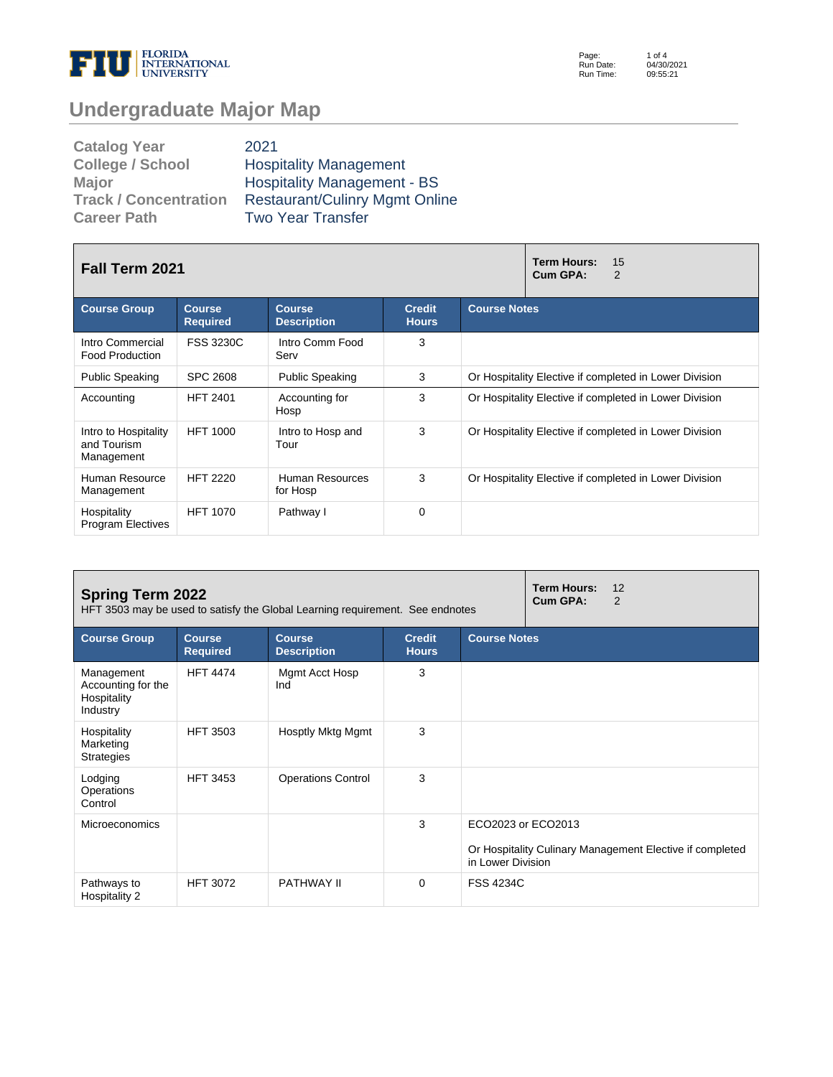

Page: Run Date: Run Time: 1 of 4 04/30/2021 09:55:21

# **Undergraduate Major Map**

| <b>Catalog Year</b>          | 2021                                  |
|------------------------------|---------------------------------------|
| <b>College / School</b>      | <b>Hospitality Management</b>         |
| Major                        | <b>Hospitality Management - BS</b>    |
| <b>Track / Concentration</b> | <b>Restaurant/Culinry Mgmt Online</b> |
| <b>Career Path</b>           | <b>Two Year Transfer</b>              |

| <b>Fall Term 2021</b>                             |                                  | <b>Term Hours:</b><br>15<br>Cum GPA:<br>2 |                               |                                                        |  |  |
|---------------------------------------------------|----------------------------------|-------------------------------------------|-------------------------------|--------------------------------------------------------|--|--|
| <b>Course Group</b>                               | <b>Course</b><br><b>Required</b> | <b>Course</b><br><b>Description</b>       | <b>Credit</b><br><b>Hours</b> | <b>Course Notes</b>                                    |  |  |
| Intro Commercial<br><b>Food Production</b>        | <b>FSS 3230C</b>                 | Intro Comm Food<br>Serv                   | 3                             |                                                        |  |  |
| <b>Public Speaking</b>                            | <b>SPC 2608</b>                  | <b>Public Speaking</b>                    | 3                             | Or Hospitality Elective if completed in Lower Division |  |  |
| Accounting                                        | <b>HFT 2401</b>                  | Accounting for<br>Hosp                    | 3                             | Or Hospitality Elective if completed in Lower Division |  |  |
| Intro to Hospitality<br>and Tourism<br>Management | <b>HFT 1000</b>                  | Intro to Hosp and<br>Tour                 | 3                             | Or Hospitality Elective if completed in Lower Division |  |  |
| Human Resource<br>Management                      | <b>HFT 2220</b>                  | Human Resources<br>for Hosp               | 3                             | Or Hospitality Elective if completed in Lower Division |  |  |
| Hospitality<br><b>Program Electives</b>           | <b>HFT 1070</b>                  | Pathway I                                 | $\Omega$                      |                                                        |  |  |

| <b>Spring Term 2022</b><br>HFT 3503 may be used to satisfy the Global Learning requirement. See endnotes |                                  |                                     |                               |                                         | <b>Term Hours:</b><br>Cum GPA: | 12<br>2                                                  |
|----------------------------------------------------------------------------------------------------------|----------------------------------|-------------------------------------|-------------------------------|-----------------------------------------|--------------------------------|----------------------------------------------------------|
| <b>Course Group</b>                                                                                      | <b>Course</b><br><b>Required</b> | <b>Course</b><br><b>Description</b> | <b>Credit</b><br><b>Hours</b> | <b>Course Notes</b>                     |                                |                                                          |
| Management<br>Accounting for the<br>Hospitality<br>Industry                                              | <b>HFT 4474</b>                  | Mgmt Acct Hosp<br>Ind               | 3                             |                                         |                                |                                                          |
| Hospitality<br>Marketing<br><b>Strategies</b>                                                            | <b>HFT 3503</b>                  | Hosptly Mktg Mgmt                   | 3                             |                                         |                                |                                                          |
| Lodging<br>Operations<br>Control                                                                         | <b>HFT 3453</b>                  | <b>Operations Control</b>           | 3                             |                                         |                                |                                                          |
| <b>Microeconomics</b>                                                                                    |                                  |                                     | 3                             | ECO2023 or ECO2013<br>in Lower Division |                                | Or Hospitality Culinary Management Elective if completed |
| Pathways to<br>Hospitality 2                                                                             | <b>HFT 3072</b>                  | PATHWAY II                          | $\Omega$                      | <b>FSS 4234C</b>                        |                                |                                                          |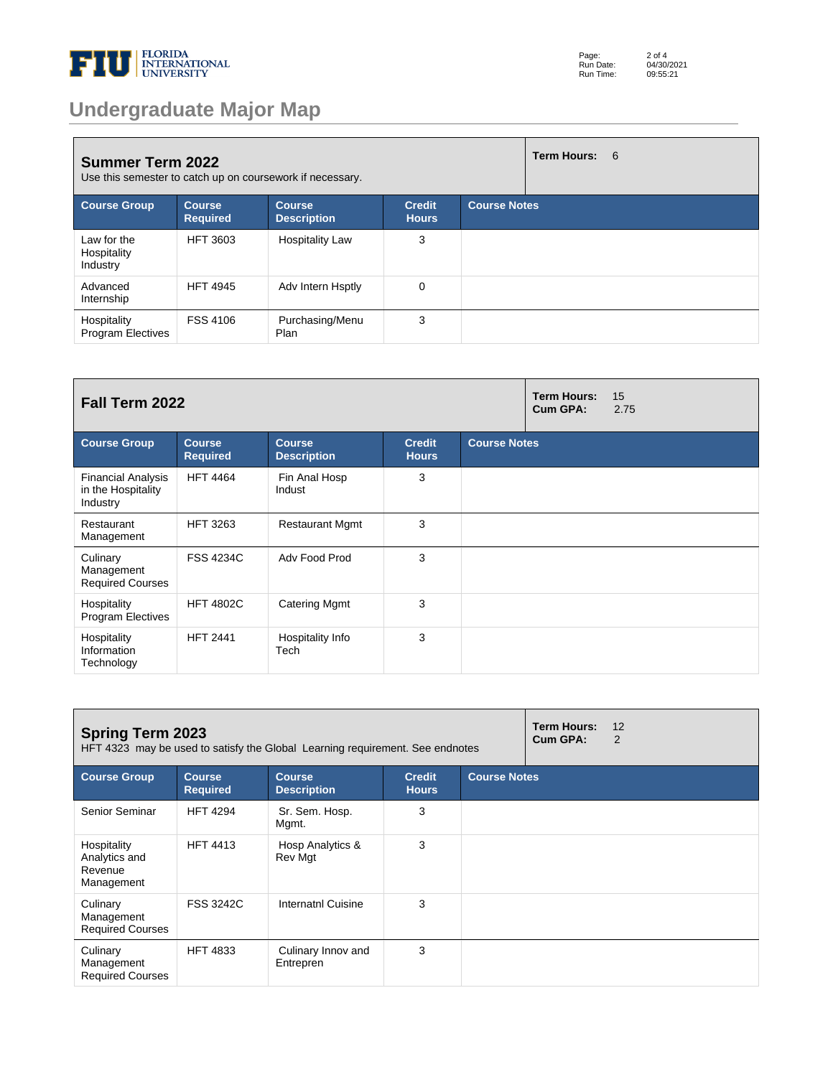

# **Undergraduate Major Map**

| <b>Summer Term 2022</b><br>Use this semester to catch up on coursework if necessary. |                                  |                                     |                               | Term Hours: 6       |  |
|--------------------------------------------------------------------------------------|----------------------------------|-------------------------------------|-------------------------------|---------------------|--|
| <b>Course Group</b>                                                                  | <b>Course</b><br><b>Required</b> | <b>Course</b><br><b>Description</b> | <b>Credit</b><br><b>Hours</b> | <b>Course Notes</b> |  |
| Law for the<br>Hospitality<br>Industry                                               | <b>HFT 3603</b>                  | <b>Hospitality Law</b>              | 3                             |                     |  |
| Advanced<br>Internship                                                               | <b>HFT 4945</b>                  | Adv Intern Hsptly                   | $\mathbf 0$                   |                     |  |
| Hospitality<br><b>Program Electives</b>                                              | <b>FSS 4106</b>                  | Purchasing/Menu<br>Plan             | 3                             |                     |  |

| Fall Term 2022                                              |                                  |                                     |                               | <b>Term Hours:</b><br><b>Cum GPA:</b> | 15<br>2.75 |  |
|-------------------------------------------------------------|----------------------------------|-------------------------------------|-------------------------------|---------------------------------------|------------|--|
| <b>Course Group</b>                                         | <b>Course</b><br><b>Required</b> | <b>Course</b><br><b>Description</b> | <b>Credit</b><br><b>Hours</b> | <b>Course Notes</b>                   |            |  |
| <b>Financial Analysis</b><br>in the Hospitality<br>Industry | <b>HFT 4464</b>                  | Fin Anal Hosp<br>Indust             | 3                             |                                       |            |  |
| Restaurant<br>Management                                    | <b>HFT 3263</b>                  | <b>Restaurant Mgmt</b>              | 3                             |                                       |            |  |
| Culinary<br>Management<br><b>Required Courses</b>           | <b>FSS 4234C</b>                 | Adv Food Prod                       | 3                             |                                       |            |  |
| Hospitality<br><b>Program Electives</b>                     | <b>HFT 4802C</b>                 | <b>Catering Mgmt</b>                | 3                             |                                       |            |  |
| Hospitality<br>Information<br>Technology                    | <b>HFT 2441</b>                  | Hospitality Info<br>Tech            | 3                             |                                       |            |  |

| <b>Spring Term 2023</b><br>HFT 4323 may be used to satisfy the Global Learning requirement. See endnotes |                                  |                                     |                               | <b>Term Hours:</b><br>Cum GPA: | 12<br>2 |  |
|----------------------------------------------------------------------------------------------------------|----------------------------------|-------------------------------------|-------------------------------|--------------------------------|---------|--|
| <b>Course Group</b>                                                                                      | <b>Course</b><br><b>Required</b> | <b>Course</b><br><b>Description</b> | <b>Credit</b><br><b>Hours</b> | <b>Course Notes</b>            |         |  |
| Senior Seminar                                                                                           | <b>HFT 4294</b>                  | Sr. Sem. Hosp.<br>Mgmt.             | 3                             |                                |         |  |
| Hospitality<br>Analytics and<br>Revenue<br>Management                                                    | <b>HFT 4413</b>                  | Hosp Analytics &<br>Rev Mgt         | 3                             |                                |         |  |
| Culinary<br>Management<br><b>Required Courses</b>                                                        | <b>FSS 3242C</b>                 | Internatnl Cuisine                  | 3                             |                                |         |  |
| Culinary<br>Management<br><b>Required Courses</b>                                                        | <b>HFT 4833</b>                  | Culinary Innov and<br>Entrepren     | 3                             |                                |         |  |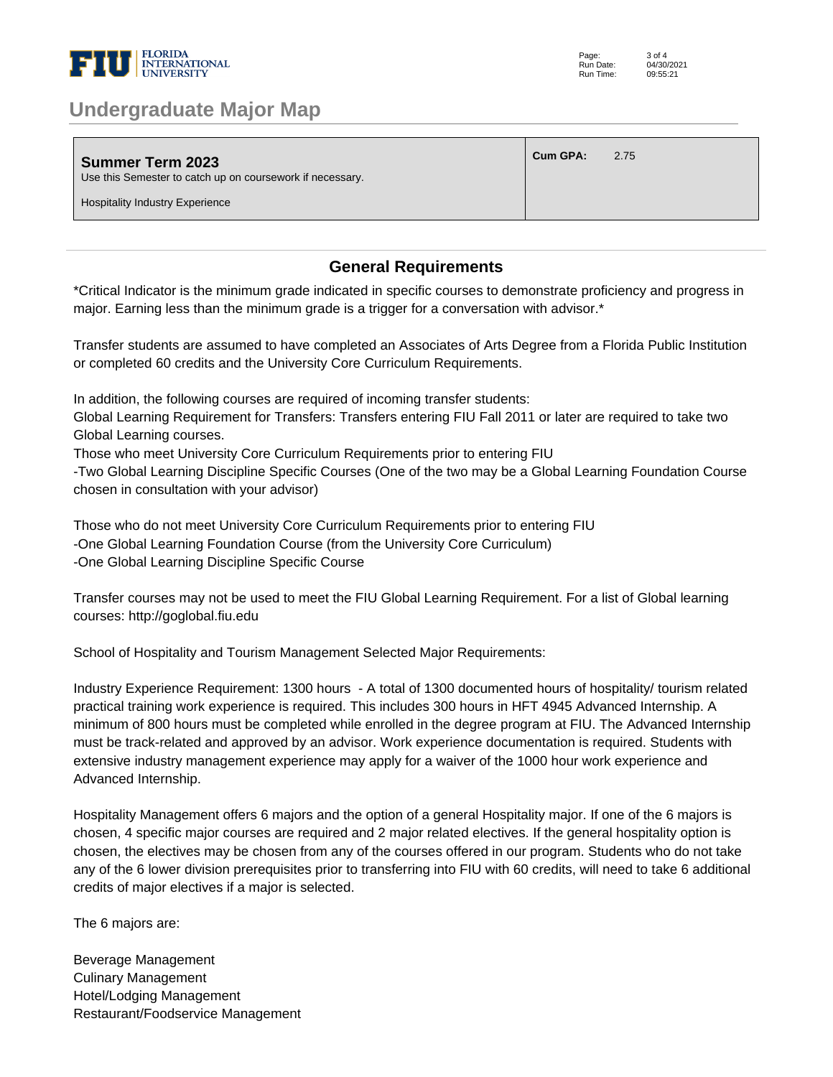

### **Undergraduate Major Map**

| <b>Summer Term 2023</b><br>Use this Semester to catch up on coursework if necessary. | Cum GPA: | 2.75 |
|--------------------------------------------------------------------------------------|----------|------|
| <b>Hospitality Industry Experience</b>                                               |          |      |

#### **General Requirements**

\*Critical Indicator is the minimum grade indicated in specific courses to demonstrate proficiency and progress in major. Earning less than the minimum grade is a trigger for a conversation with advisor.\* 

Transfer students are assumed to have completed an Associates of Arts Degree from a Florida Public Institution or completed 60 credits and the University Core Curriculum Requirements. 

In addition, the following courses are required of incoming transfer students: 

Global Learning Requirement for Transfers: Transfers entering FIU Fall 2011 or later are required to take two Global Learning courses. 

Those who meet University Core Curriculum Requirements prior to entering FIU 

-Two Global Learning Discipline Specific Courses (One of the two may be a Global Learning Foundation Course chosen in consultation with your advisor) 

Those who do not meet University Core Curriculum Requirements prior to entering FIU -One Global Learning Foundation Course (from the University Core Curriculum) -One Global Learning Discipline Specific Course 

Transfer courses may not be used to meet the FIU Global Learning Requirement. For a list of Global learning courses: http://goglobal.fiu.edu 

School of Hospitality and Tourism Management Selected Major Requirements: 

Industry Experience Requirement: 1300 hours - A total of 1300 documented hours of hospitality/ tourism related practical training work experience is required. This includes 300 hours in HFT 4945 Advanced Internship. A minimum of 800 hours must be completed while enrolled in the degree program at FIU. The Advanced Internship must be track-related and approved by an advisor. Work experience documentation is required. Students with extensive industry management experience may apply for a waiver of the 1000 hour work experience and Advanced Internship. 

Hospitality Management offers 6 majors and the option of a general Hospitality major. If one of the 6 majors is chosen, 4 specific major courses are required and 2 major related electives. If the general hospitality option is chosen, the electives may be chosen from any of the courses offered in our program. Students who do not take any of the 6 lower division prerequisites prior to transferring into FIU with 60 credits, will need to take 6 additional credits of major electives if a major is selected.

The 6 majors are:

Beverage Management Culinary Management Hotel/Lodging Management Restaurant/Foodservice Management